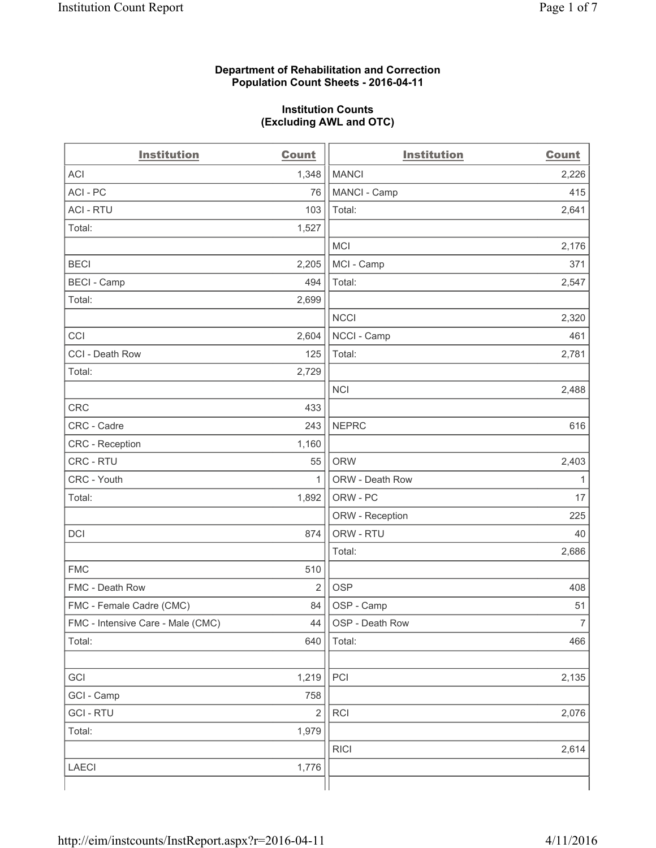#### **Department of Rehabilitation and Correction Population Count Sheets - 2016-04-11**

#### **Institution Counts (Excluding AWL and OTC)**

| <b>Institution</b>                | <b>Count</b>   | <b>Institution</b> | <b>Count</b>   |
|-----------------------------------|----------------|--------------------|----------------|
| <b>ACI</b>                        | 1,348          | <b>MANCI</b>       | 2,226          |
| ACI-PC                            | 76             | MANCI - Camp       | 415            |
| <b>ACI - RTU</b>                  | 103            | Total:             | 2,641          |
| Total:                            | 1,527          |                    |                |
|                                   |                | <b>MCI</b>         | 2,176          |
| <b>BECI</b>                       | 2,205          | MCI - Camp         | 371            |
| <b>BECI - Camp</b>                | 494            | Total:             | 2,547          |
| Total:                            | 2,699          |                    |                |
|                                   |                | <b>NCCI</b>        | 2,320          |
| CCI                               | 2,604          | NCCI - Camp        | 461            |
| CCI - Death Row                   | 125            | Total:             | 2,781          |
| Total:                            | 2,729          |                    |                |
|                                   |                | <b>NCI</b>         | 2,488          |
| <b>CRC</b>                        | 433            |                    |                |
| CRC - Cadre                       | 243            | <b>NEPRC</b>       | 616            |
| CRC - Reception                   | 1,160          |                    |                |
| CRC - RTU                         | 55             | <b>ORW</b>         | 2,403          |
| CRC - Youth                       | 1              | ORW - Death Row    | $\mathbf{1}$   |
| Total:                            | 1,892          | ORW - PC           | 17             |
|                                   |                | ORW - Reception    | 225            |
| DCI                               | 874            | ORW - RTU          | 40             |
|                                   |                | Total:             | 2,686          |
| <b>FMC</b>                        | 510            |                    |                |
| FMC - Death Row                   | $\overline{2}$ | <b>OSP</b>         | 408            |
| FMC - Female Cadre (CMC)          | 84             | OSP - Camp         | 51             |
| FMC - Intensive Care - Male (CMC) | 44             | OSP - Death Row    | $\overline{7}$ |
| Total:                            | 640            | Total:             | 466            |
|                                   |                |                    |                |
| GCI                               | 1,219          | PCI                | 2,135          |
| GCI - Camp                        | 758            |                    |                |
| <b>GCI-RTU</b>                    | $\overline{2}$ | RCI                | 2,076          |
| Total:                            | 1,979          |                    |                |
|                                   |                | <b>RICI</b>        | 2,614          |
| <b>LAECI</b>                      | 1,776          |                    |                |
|                                   |                |                    |                |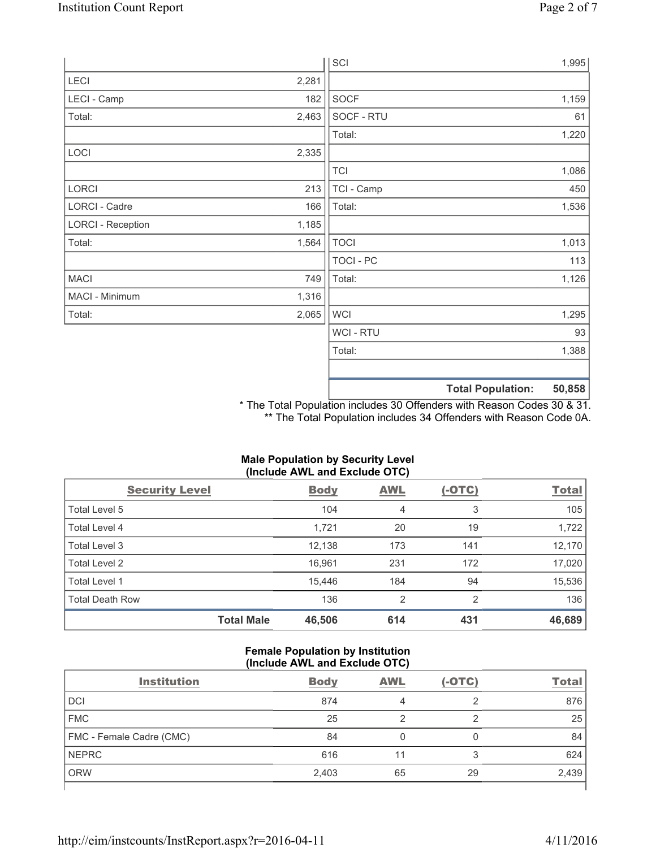|                          |       | SCI            |                          | 1,995  |
|--------------------------|-------|----------------|--------------------------|--------|
| LECI                     | 2,281 |                |                          |        |
| LECI - Camp              | 182   | SOCF           |                          | 1,159  |
| Total:                   | 2,463 | SOCF - RTU     |                          | 61     |
|                          |       | Total:         |                          | 1,220  |
| LOCI                     | 2,335 |                |                          |        |
|                          |       | <b>TCI</b>     |                          | 1,086  |
| LORCI                    | 213   | TCI - Camp     |                          | 450    |
| LORCI - Cadre            | 166   | Total:         |                          | 1,536  |
| <b>LORCI - Reception</b> | 1,185 |                |                          |        |
| Total:                   | 1,564 | <b>TOCI</b>    |                          | 1,013  |
|                          |       | TOCI - PC      |                          | 113    |
| <b>MACI</b>              | 749   | Total:         |                          | 1,126  |
| MACI - Minimum           | 1,316 |                |                          |        |
| Total:                   | 2,065 | <b>WCI</b>     |                          | 1,295  |
|                          |       | <b>WCI-RTU</b> |                          | 93     |
|                          |       | Total:         |                          | 1,388  |
|                          |       |                |                          |        |
|                          |       |                | <b>Total Population:</b> | 50,858 |

\* The Total Population includes 30 Offenders with Reason Codes 30 & 31. \*\* The Total Population includes 34 Offenders with Reason Code 0A.

| (Include AWL and Exclude OTC) |                   |             |                |               |              |
|-------------------------------|-------------------|-------------|----------------|---------------|--------------|
| <b>Security Level</b>         |                   | <b>Body</b> | <b>AWL</b>     | <u>(-OTC)</u> | <b>Total</b> |
| Total Level 5                 |                   | 104         | 4              | 3             | 105          |
| <b>Total Level 4</b>          |                   | 1,721       | 20             | 19            | 1,722        |
| Total Level 3                 |                   | 12,138      | 173            | 141           | 12,170       |
| Total Level 2                 |                   | 16,961      | 231            | 172           | 17,020       |
| Total Level 1                 |                   | 15,446      | 184            | 94            | 15,536       |
| <b>Total Death Row</b>        |                   | 136         | $\overline{2}$ | 2             | 136          |
|                               | <b>Total Male</b> | 46,506      | 614            | 431           | 46,689       |

# **Male Population by Security Level**

# **Female Population by Institution (Include AWL and Exclude OTC)**

| <b>Institution</b>       | <b>Body</b> | <b>AWL</b> | $(-OTC)$ | <b>Total</b> |
|--------------------------|-------------|------------|----------|--------------|
| <b>DCI</b>               | 874         | 4          | っ        | 876          |
| <b>FMC</b>               | 25          |            |          | 25           |
| FMC - Female Cadre (CMC) | 84          |            |          | 84           |
| <b>NEPRC</b>             | 616         |            | 3        | 624          |
| <b>ORW</b>               | 2,403       | 65         | 29       | 2,439        |
|                          |             |            |          |              |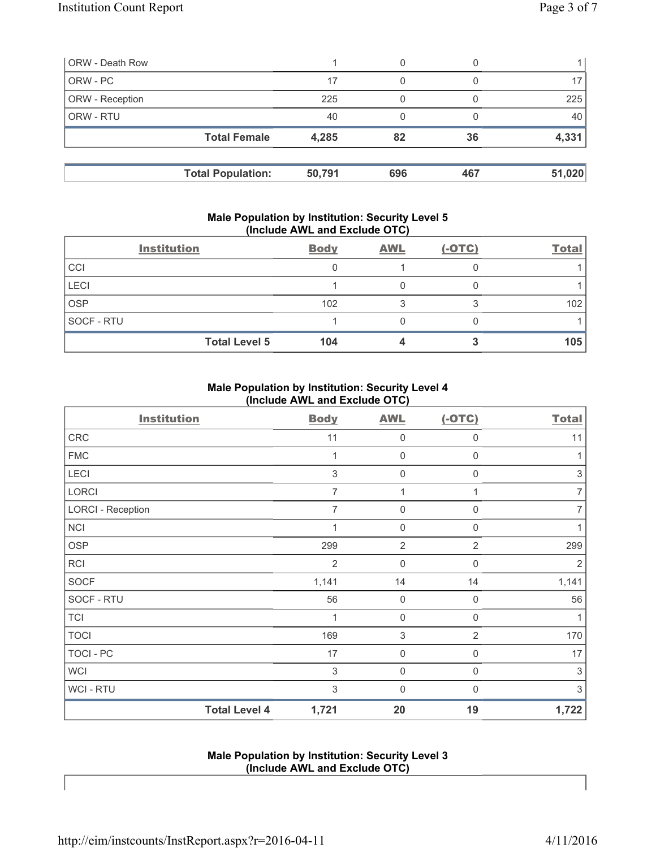| <b>ORW - Death Row</b> |                          |        | 0   |     |        |
|------------------------|--------------------------|--------|-----|-----|--------|
| ORW - PC               |                          | 17     | 0   |     |        |
| ORW - Reception        |                          | 225    |     |     | 225    |
| ORW - RTU              |                          | 40     |     |     | 40     |
|                        | <b>Total Female</b>      | 4,285  | 82  | 36  | 4,331  |
|                        |                          |        |     |     |        |
|                        | <b>Total Population:</b> | 50,791 | 696 | 467 | 51,020 |

#### **Male Population by Institution: Security Level 5 (Include AWL and Exclude OTC)**

|             | <b>Institution</b>   | <b>Body</b> | <b>AWL</b> | $(-OTC)$ | <b>Total</b> |
|-------------|----------------------|-------------|------------|----------|--------------|
| CCI         |                      |             |            |          |              |
| <b>LECI</b> |                      |             |            |          |              |
| <b>OSP</b>  |                      | 102         |            |          | 102          |
| SOCF - RTU  |                      |             |            |          |              |
|             | <b>Total Level 5</b> | 104         |            |          | 105          |

## **Male Population by Institution: Security Level 4 (Include AWL and Exclude OTC)**

| <b>Institution</b>       |                      | <b>Body</b>    | <b>AWL</b>     | $(-OTC)$       | <b>Total</b>              |
|--------------------------|----------------------|----------------|----------------|----------------|---------------------------|
| ${\sf CRC}$              |                      | 11             | $\mathbf 0$    | 0              | 11                        |
| <b>FMC</b>               |                      | 1              | 0              | 0              | 1                         |
| LECI                     |                      | $\mathfrak{S}$ | $\mathbf 0$    | 0              | $\ensuremath{\mathsf{3}}$ |
| LORCI                    |                      | $\overline{7}$ | 1              | 1              | $\overline{7}$            |
| <b>LORCI - Reception</b> |                      | $\overline{7}$ | $\mathbf 0$    | 0              | 7                         |
| <b>NCI</b>               |                      | 1              | $\mathbf 0$    | 0              | 1                         |
| <b>OSP</b>               |                      | 299            | $\overline{2}$ | $\overline{2}$ | 299                       |
| RCI                      |                      | $\overline{2}$ | $\mathbf 0$    | 0              | $\overline{2}$            |
| <b>SOCF</b>              |                      | 1,141          | 14             | 14             | 1,141                     |
| SOCF - RTU               |                      | 56             | $\mathbf 0$    | $\mathbf 0$    | 56                        |
| <b>TCI</b>               |                      | 1              | $\mathbf 0$    | $\mathbf 0$    | 1                         |
| <b>TOCI</b>              |                      | 169            | $\sqrt{3}$     | 2              | 170                       |
| TOCI - PC                |                      | 17             | $\mathbf 0$    | 0              | 17                        |
| <b>WCI</b>               |                      | 3              | $\mathbf 0$    | 0              | 3                         |
| <b>WCI-RTU</b>           |                      | 3              | $\mathbf 0$    | 0              | 3                         |
|                          | <b>Total Level 4</b> | 1,721          | 20             | 19             | 1,722                     |

## **Male Population by Institution: Security Level 3 (Include AWL and Exclude OTC)**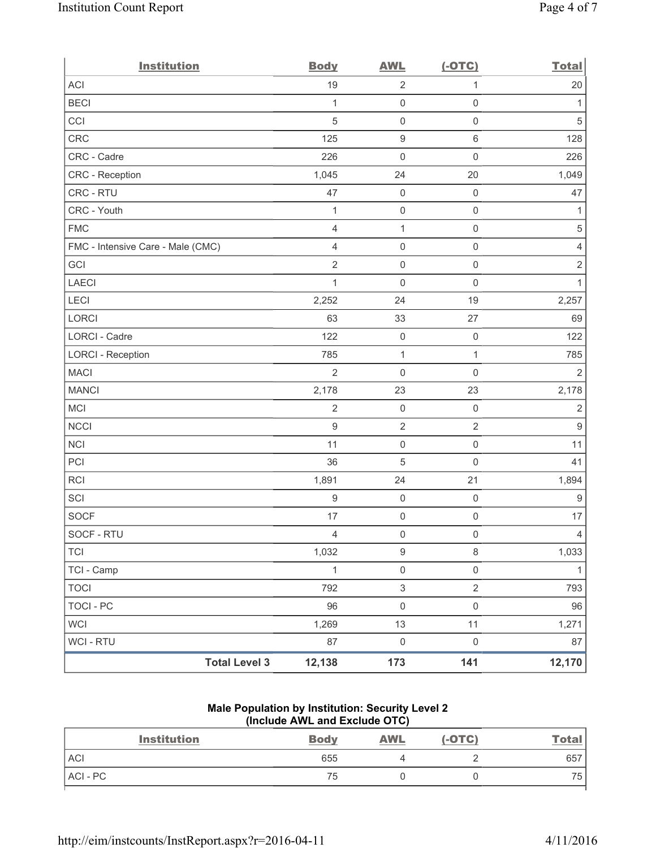| <b>Institution</b>                | <b>Body</b>      | <b>AWL</b>                | $(-OTC)$            | <b>Total</b>     |
|-----------------------------------|------------------|---------------------------|---------------------|------------------|
| <b>ACI</b>                        | 19               | $\overline{2}$            | $\mathbf{1}$        | 20               |
| <b>BECI</b>                       | 1                | $\mathsf{O}\xspace$       | $\mathsf{O}\xspace$ | 1                |
| CCI                               | $\sqrt{5}$       | $\mathsf{O}\xspace$       | $\mathsf{O}\xspace$ | $\sqrt{5}$       |
| CRC                               | 125              | 9                         | $\,6\,$             | 128              |
| CRC - Cadre                       | 226              | $\mathbf 0$               | $\mathsf{O}\xspace$ | 226              |
| CRC - Reception                   | 1,045            | 24                        | 20                  | 1,049            |
| CRC - RTU                         | 47               | $\mathbf 0$               | $\mathsf 0$         | 47               |
| CRC - Youth                       | $\mathbf{1}$     | $\mathsf{O}\xspace$       | $\mathsf 0$         | $\mathbf{1}$     |
| <b>FMC</b>                        | $\overline{4}$   | $\mathbf{1}$              | $\mathsf{O}\xspace$ | $\,$ 5 $\,$      |
| FMC - Intensive Care - Male (CMC) | 4                | $\mathsf{O}\xspace$       | $\mathsf 0$         | $\overline{4}$   |
| GCI                               | $\overline{2}$   | $\mathsf{O}\xspace$       | $\mathsf{O}\xspace$ | $\sqrt{2}$       |
| <b>LAECI</b>                      | $\mathbf{1}$     | 0                         | $\mathbf 0$         | $\mathbf{1}$     |
| LECI                              | 2,252            | 24                        | 19                  | 2,257            |
| LORCI                             | 63               | 33                        | 27                  | 69               |
| LORCI - Cadre                     | 122              | $\mathbf 0$               | $\mathsf{O}\xspace$ | 122              |
| <b>LORCI - Reception</b>          | 785              | $\mathbf 1$               | $\mathbf{1}$        | 785              |
| <b>MACI</b>                       | $\overline{2}$   | 0                         | $\mathbf 0$         | $\overline{2}$   |
| <b>MANCI</b>                      | 2,178            | 23                        | 23                  | 2,178            |
| MCI                               | $\sqrt{2}$       | $\mathbf 0$               | $\mathsf{O}\xspace$ | $\sqrt{2}$       |
| <b>NCCI</b>                       | $\boldsymbol{9}$ | $\mathbf 2$               | $\sqrt{2}$          | $\boldsymbol{9}$ |
| <b>NCI</b>                        | 11               | $\mathsf{O}\xspace$       | $\mathsf{O}\xspace$ | 11               |
| PCI                               | 36               | 5                         | $\mathbf 0$         | 41               |
| RCI                               | 1,891            | 24                        | 21                  | 1,894            |
| SCI                               | $\boldsymbol{9}$ | $\mathbf 0$               | $\mathsf{O}\xspace$ | $\boldsymbol{9}$ |
| <b>SOCF</b>                       | 17               | $\mathsf{O}\xspace$       | $\mathsf{O}\xspace$ | 17               |
| SOCF - RTU                        | $\overline{4}$   | $\mathsf{O}\xspace$       | $\mathsf{O}\xspace$ | $\overline{4}$   |
| <b>TCI</b>                        | 1,032            | $\hbox{9}$                | $\,8\,$             | 1,033            |
| TCI - Camp                        | $\mathbf{1}$     | $\mathsf 0$               | $\mathsf{O}\xspace$ | $\mathbf{1}$     |
| <b>TOCI</b>                       | 792              | $\ensuremath{\mathsf{3}}$ | $\sqrt{2}$          | 793              |
| <b>TOCI - PC</b>                  | 96               | $\mathsf{O}\xspace$       | $\mathsf 0$         | 96               |
| <b>WCI</b>                        | 1,269            | 13                        | 11                  | 1,271            |
| <b>WCI - RTU</b>                  | 87               | $\mathbf 0$               | $\mathsf{O}\xspace$ | 87               |
| <b>Total Level 3</b>              | 12,138           | 173                       | 141                 | 12,170           |

# **Male Population by Institution: Security Level 2 (Include AWL and Exclude OTC)**

| <b>Institution</b> | <b>Body</b> | <b>AWL</b> | $(-OTC)$ | <u>Total</u> |
|--------------------|-------------|------------|----------|--------------|
| <b>ACI</b>         | 655         |            |          | 657          |
| ACI-PC             | 75          |            |          | 75           |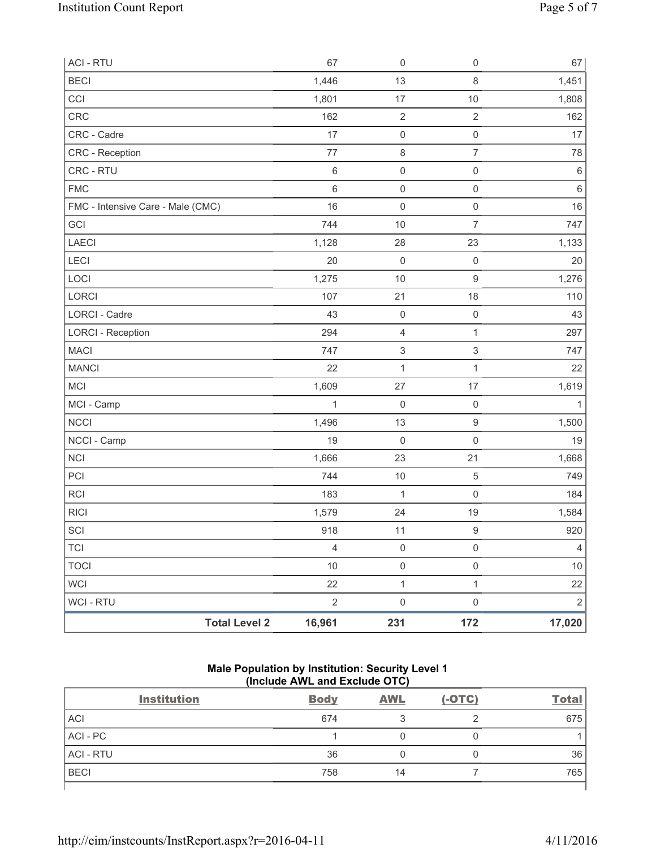| <b>ACI - RTU</b>                  | 67             | $\mathsf{O}\xspace$       | $\mathsf 0$               | 67             |
|-----------------------------------|----------------|---------------------------|---------------------------|----------------|
| <b>BECI</b>                       | 1,446          | 13                        | $\,8\,$                   | 1,451          |
| CCI                               | 1,801          | 17                        | 10                        | 1,808          |
| CRC                               | 162            | $\sqrt{2}$                | $\sqrt{2}$                | 162            |
| CRC - Cadre                       | 17             | $\mathsf 0$               | $\mathsf 0$               | 17             |
| CRC - Reception                   | 77             | 8                         | $\overline{7}$            | 78             |
| CRC - RTU                         | $\,6\,$        | $\mathsf 0$               | $\mathsf{O}\xspace$       | $\,6\,$        |
| <b>FMC</b>                        | $\,6$          | $\mathsf 0$               | $\mathsf{O}\xspace$       | $\,6$          |
| FMC - Intensive Care - Male (CMC) | 16             | $\mathsf{O}\xspace$       | $\mathsf 0$               | $16$           |
| GCI                               | 744            | $10$                      | $\overline{7}$            | 747            |
| LAECI                             | 1,128          | 28                        | 23                        | 1,133          |
| LECI                              | 20             | $\mathsf 0$               | $\mathsf 0$               | 20             |
| LOCI                              | 1,275          | 10                        | $\boldsymbol{9}$          | 1,276          |
| LORCI                             | 107            | 21                        | 18                        | 110            |
| <b>LORCI - Cadre</b>              | 43             | $\mathsf{O}\xspace$       | $\mathsf{O}\xspace$       | 43             |
| <b>LORCI - Reception</b>          | 294            | 4                         | 1                         | 297            |
| <b>MACI</b>                       | 747            | $\ensuremath{\mathsf{3}}$ | $\ensuremath{\mathsf{3}}$ | 747            |
| <b>MANCI</b>                      | 22             | $\mathbf 1$               | 1                         | 22             |
| MCI                               | 1,609          | 27                        | $17$                      | 1,619          |
| MCI - Camp                        | $\mathbf{1}$   | $\mathsf 0$               | $\mathsf{O}\xspace$       | $\mathbf{1}$   |
| <b>NCCI</b>                       | 1,496          | 13                        | $\boldsymbol{9}$          | 1,500          |
| NCCI - Camp                       | 19             | $\mathsf{O}\xspace$       | $\mathsf 0$               | 19             |
| <b>NCI</b>                        | 1,666          | 23                        | 21                        | 1,668          |
| PCI                               | 744            | $10$                      | 5                         | 749            |
| RCI                               | 183            | $\mathbf 1$               | $\mathsf 0$               | 184            |
| <b>RICI</b>                       | 1,579          | 24                        | 19                        | 1,584          |
| SCI                               | 918            | 11                        | $\boldsymbol{9}$          | 920            |
| <b>TCI</b>                        | $\overline{4}$ | $\mathsf{O}\xspace$       | $\mathsf{O}\xspace$       | $\overline{4}$ |
| <b>TOCI</b>                       | $10$           | $\mathsf{O}\xspace$       | $\mathsf{O}\xspace$       | $10$           |
| <b>WCI</b>                        | 22             | $\mathbf 1$               | 1                         | 22             |
| WCI - RTU                         | $\sqrt{2}$     | $\mathsf{O}\xspace$       | $\mathsf{O}\xspace$       | $\overline{2}$ |
| <b>Total Level 2</b>              | 16,961         | 231                       | 172                       | 17,020         |

## **Male Population by Institution: Security Level 1 (Include AWL and Exclude OTC)**

| <b>Institution</b> | <b>Body</b> | <b>AWL</b> | $(-OTC)$ | <b>Total</b> |
|--------------------|-------------|------------|----------|--------------|
| <b>ACI</b>         | 674         |            |          | 675          |
| ACI - PC           |             |            |          |              |
| <b>ACI - RTU</b>   | 36          |            | 0        | 36           |
| <b>BECI</b>        | 758         | 14         |          | 765          |
|                    |             |            |          |              |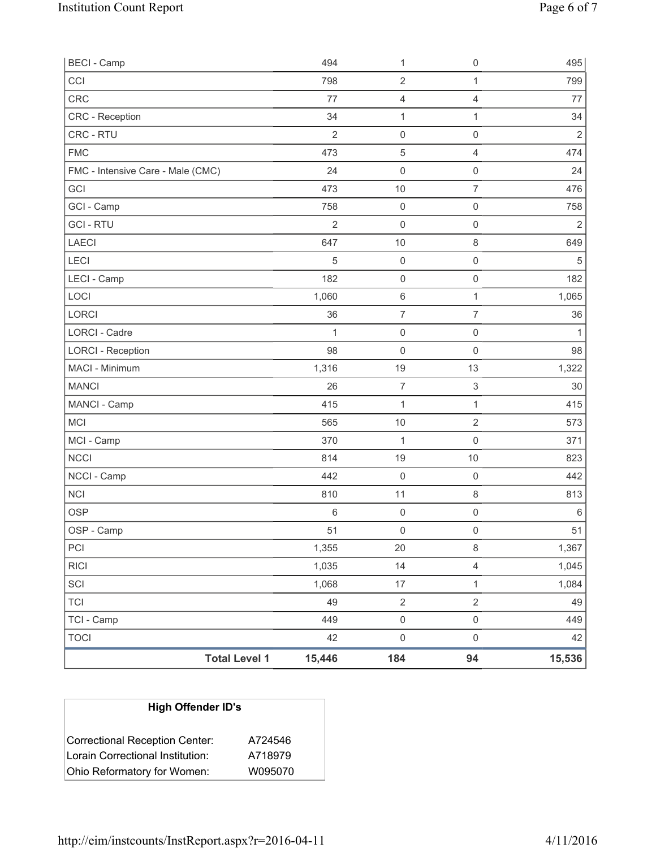| <b>Total Level 1</b>              | 15,446         | 184                 | 94                        | 15,536         |
|-----------------------------------|----------------|---------------------|---------------------------|----------------|
| <b>TOCI</b>                       | 42             | $\mathsf{O}\xspace$ | $\mathsf{O}\xspace$       | 42             |
| TCI - Camp                        | 449            | $\mathsf{O}\xspace$ | $\mathsf{O}\xspace$       | 449            |
| <b>TCI</b>                        | 49             | $\overline{2}$      | $\sqrt{2}$                | 49             |
| SCI                               | 1,068          | $17\,$              | $\mathbf{1}$              | 1,084          |
| <b>RICI</b>                       | 1,035          | 14                  | $\overline{4}$            | 1,045          |
| PCI                               | 1,355          | $20\,$              | $\,8\,$                   | 1,367          |
| OSP - Camp                        | 51             | $\mathsf{O}\xspace$ | $\mathsf 0$               | 51             |
| <b>OSP</b>                        | 6              | $\mathsf{O}\xspace$ | $\mathsf 0$               | $\,6\,$        |
| <b>NCI</b>                        | 810            | 11                  | $\,8\,$                   | 813            |
| NCCI - Camp                       | 442            | 0                   | $\mathsf 0$               | 442            |
| <b>NCCI</b>                       | 814            | 19                  | 10                        | 823            |
| MCI - Camp                        | 370            | $\mathbf{1}$        | $\mathsf{O}\xspace$       | 371            |
| <b>MCI</b>                        | 565            | 10                  | $\overline{2}$            | 573            |
| MANCI - Camp                      | 415            | $\mathbf{1}$        | $\mathbf{1}$              | 415            |
| <b>MANCI</b>                      | 26             | $\overline{7}$      | $\ensuremath{\mathsf{3}}$ | 30             |
| MACI - Minimum                    | 1,316          | 19                  | 13                        | 1,322          |
| <b>LORCI - Reception</b>          | 98             | 0                   | $\mathsf{O}\xspace$       | 98             |
| LORCI - Cadre                     | 1              | $\mathsf 0$         | $\mathsf 0$               | 1              |
| <b>LORCI</b>                      | 36             | $\overline{7}$      | $\overline{7}$            | 36             |
| LOCI                              | 1,060          | $\,6\,$             | $\mathbf{1}$              | 1,065          |
| LECI - Camp                       | 182            | $\mathsf 0$         | $\mathsf{O}\xspace$       | 182            |
| LECI                              | $\sqrt{5}$     | $\mathsf 0$         | $\mathsf 0$               | $\sqrt{5}$     |
| <b>LAECI</b>                      | 647            | 10                  | $\,8\,$                   | 649            |
| <b>GCI-RTU</b>                    | $\overline{2}$ | 0                   | $\mathsf{O}\xspace$       | $\overline{2}$ |
| GCI - Camp                        | 758            | $\mathsf 0$         | $\mathsf{O}\xspace$       | 758            |
| GCI                               | 473            | 10                  | $\overline{7}$            | 476            |
| FMC - Intensive Care - Male (CMC) | 24             | 0                   | $\mathsf 0$               | 24             |
| <b>FMC</b>                        | 473            | 5                   | $\overline{4}$            | 474            |
| CRC - RTU                         | $\overline{2}$ | $\mathsf 0$         | $\mathsf{O}\xspace$       | $\sqrt{2}$     |
| <b>CRC</b> - Reception            | 34             | 1                   | $\mathbf{1}$              | 34             |
| CRC                               | 77             | 4                   | $\mathbf{1}$<br>4         | 77             |
| CCI                               | 798            | $\mathbf 2$         |                           | 799            |
| <b>BECI - Camp</b>                | 494            | 1                   | $\mathsf{O}\xspace$       | 495            |

| <b>High Offender ID's</b>        |         |
|----------------------------------|---------|
| Correctional Reception Center:   | A724546 |
| Lorain Correctional Institution: | A718979 |
| Ohio Reformatory for Women:      | W095070 |